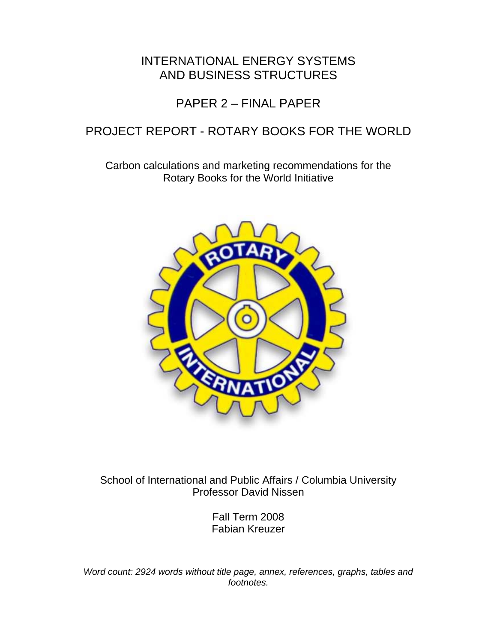# INTERNATIONAL ENERGY SYSTEMS AND BUSINESS STRUCTURES

# PAPER 2 – FINAL PAPER

# PROJECT REPORT - ROTARY BOOKS FOR THE WORLD

Carbon calculations and marketing recommendations for the Rotary Books for the World Initiative



School of International and Public Affairs / Columbia University Professor David Nissen

> Fall Term 2008 Fabian Kreuzer

*Word count: 2924 words without title page, annex, references, graphs, tables and footnotes.*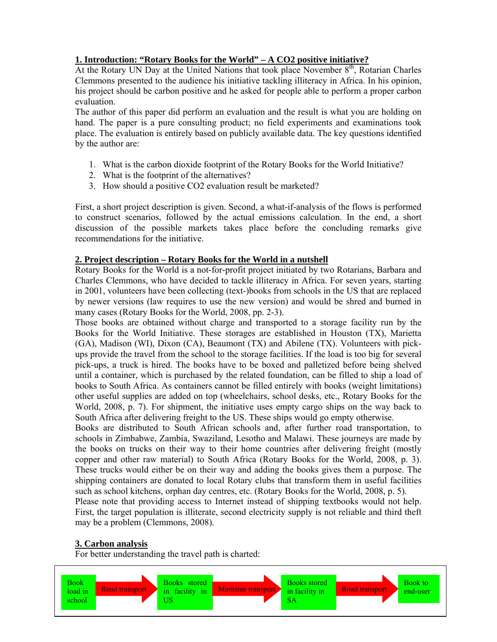# **1. Introduction: "Rotary Books for the World" – A CO2 positive initiative?**

At the Rotary UN Day at the United Nations that took place November  $8<sup>th</sup>$ , Rotarian Charles Clemmons presented to the audience his initiative tackling illiteracy in Africa. In his opinion, his project should be carbon positive and he asked for people able to perform a proper carbon evaluation.

The author of this paper did perform an evaluation and the result is what you are holding on hand. The paper is a pure consulting product; no field experiments and examinations took place. The evaluation is entirely based on publicly available data. The key questions identified by the author are:

- 1. What is the carbon dioxide footprint of the Rotary Books for the World Initiative?
- 2. What is the footprint of the alternatives?
- 3. How should a positive CO2 evaluation result be marketed?

First, a short project description is given. Second, a what-if-analysis of the flows is performed to construct scenarios, followed by the actual emissions calculation. In the end, a short discussion of the possible markets takes place before the concluding remarks give recommendations for the initiative.

## **2. Project description – Rotary Books for the World in a nutshell**

Rotary Books for the World is a not-for-profit project initiated by two Rotarians, Barbara and Charles Clemmons, who have decided to tackle illiteracy in Africa. For seven years, starting in 2001, volunteers have been collecting (text-)books from schools in the US that are replaced by newer versions (law requires to use the new version) and would be shred and burned in many cases (Rotary Books for the World, 2008, pp. 2-3).

Those books are obtained without charge and transported to a storage facility run by the Books for the World Initiative. These storages are established in Houston (TX), Marietta (GA), Madison (WI), Dixon (CA), Beaumont (TX) and Abilene (TX). Volunteers with pickups provide the travel from the school to the storage facilities. If the load is too big for several pick-ups, a truck is hired. The books have to be boxed and palletized before being shelved until a container, which is purchased by the related foundation, can be filled to ship a load of books to South Africa. As containers cannot be filled entirely with books (weight limitations) other useful supplies are added on top (wheelchairs, school desks, etc., Rotary Books for the World, 2008, p. 7). For shipment, the initiative uses empty cargo ships on the way back to South Africa after delivering freight to the US. These ships would go empty otherwise.

Books are distributed to South African schools and, after further road transportation, to schools in Zimbabwe, Zambia, Swaziland, Lesotho and Malawi. These journeys are made by the books on trucks on their way to their home countries after delivering freight (mostly copper and other raw material) to South Africa (Rotary Books for the World, 2008, p. 3). These trucks would either be on their way and adding the books gives them a purpose. The shipping containers are donated to local Rotary clubs that transform them in useful facilities such as school kitchens, orphan day centres, etc. (Rotary Books for the World, 2008, p. 5).

Please note that providing access to Internet instead of shipping textbooks would not help. First, the target population is illiterate, second electricity supply is not reliable and third theft may be a problem (Clemmons, 2008).

# **3. Carbon analysis**

For better understanding the travel path is charted:

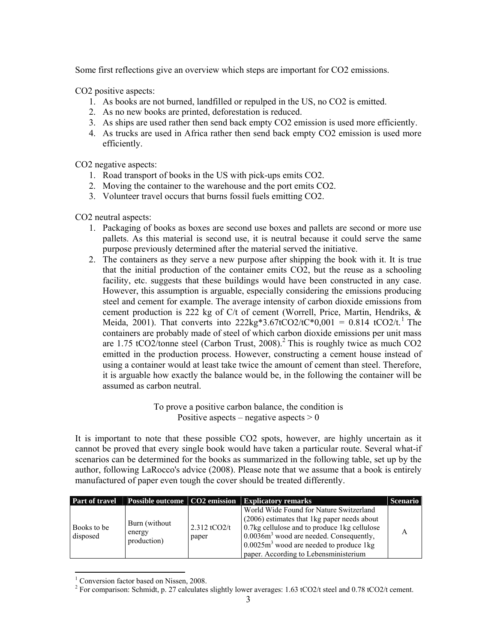Some first reflections give an overview which steps are important for CO2 emissions.

CO2 positive aspects:

- 1. As books are not burned, landfilled or repulped in the US, no CO2 is emitted.
- 2. As no new books are printed, deforestation is reduced.
- 3. As ships are used rather then send back empty CO2 emission is used more efficiently.
- 4. As trucks are used in Africa rather then send back empty CO2 emission is used more efficiently.

CO2 negative aspects:

- 1. Road transport of books in the US with pick-ups emits CO2.
- 2. Moving the container to the warehouse and the port emits CO2.
- 3. Volunteer travel occurs that burns fossil fuels emitting CO2.

CO2 neutral aspects:

- 1. Packaging of books as boxes are second use boxes and pallets are second or more use pallets. As this material is second use, it is neutral because it could serve the same purpose previously determined after the material served the initiative.
- 2. The containers as they serve a new purpose after shipping the book with it. It is true that the initial production of the container emits CO2, but the reuse as a schooling facility, etc. suggests that these buildings would have been constructed in any case. However, this assumption is arguable, especially considering the emissions producing steel and cement for example. The average intensity of carbon dioxide emissions from cement production is 222 kg of C/t of cement (Worrell, Price, Martin, Hendriks, & Meida, 2001). That converts into  $222\text{kg}^*3.67\text{t}CO2/\text{t}C^*0,001 = 0.814 \text{ t}CO2/\text{t}^1$ . The containers are probably made of steel of which carbon dioxide emissions per unit mass are 1.75 tCO2/tonne steel (Carbon Trust, 2008).<sup>2</sup> This is roughly twice as much CO2 emitted in the production process. However, constructing a cement house instead of using a container would at least take twice the amount of cement than steel. Therefore, it is arguable how exactly the balance would be, in the following the container will be assumed as carbon neutral.

To prove a positive carbon balance, the condition is Positive aspects – negative aspects  $> 0$ 

It is important to note that these possible CO2 spots, however, are highly uncertain as it cannot be proved that every single book would have taken a particular route. Several what-if scenarios can be determined for the books as summarized in the following table, set up by the author, following LaRocco's advice (2008). Please note that we assume that a book is entirely manufactured of paper even tough the cover should be treated differently.

|                         |                                         |                         | <b>Part of travel Possible outcome CO2 emission Explicatory remarks</b>                                                                                                                                                                                                    | <b>Scenario</b> |
|-------------------------|-----------------------------------------|-------------------------|----------------------------------------------------------------------------------------------------------------------------------------------------------------------------------------------------------------------------------------------------------------------------|-----------------|
| Books to be<br>disposed | Burn (without)<br>energy<br>production) | $2.312$ tCO2/t<br>paper | World Wide Found for Nature Switzerland<br>(2006) estimates that 1 kg paper needs about<br>0.7kg cellulose and to produce 1kg cellulose<br>$0.0036m3$ wood are needed. Consequently,<br>$0.0025m3$ wood are needed to produce 1kg<br>paper. According to Lebensministerium |                 |

 1 Conversion factor based on Nissen, 2008.

<sup>&</sup>lt;sup>2</sup> For comparison: Schmidt, p. 27 calculates slightly lower averages: 1.63 tCO2/t steel and 0.78 tCO2/t cement.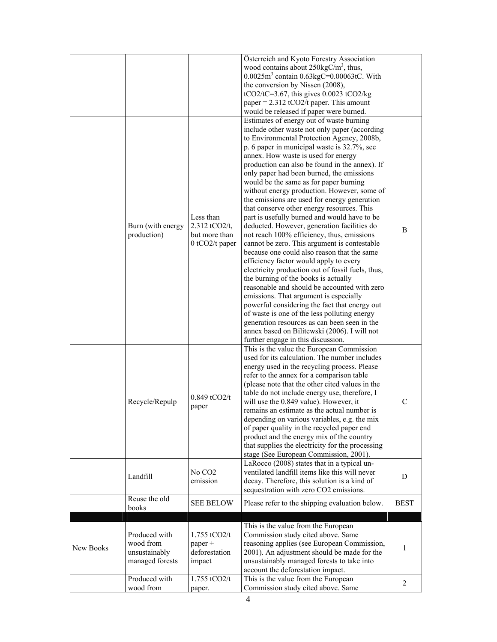|           |                                                                |                                                               | Österreich and Kyoto Forestry Association<br>wood contains about $250 \text{kgC/m}^3$ , thus,<br>$0.0025m3$ contain $0.63kgC = 0.00063tC$ . With<br>the conversion by Nissen (2008),<br>$tCO2/tC=3.67$ , this gives 0.0023 tCO2/kg<br>paper = $2.312$ tCO2/t paper. This amount<br>would be released if paper were burned.                                                                                                                                                                                                                                                                                                                                                                                                                                                                                                                                                                                                                                                                                                                                                                                                                                                                                                              |                |
|-----------|----------------------------------------------------------------|---------------------------------------------------------------|-----------------------------------------------------------------------------------------------------------------------------------------------------------------------------------------------------------------------------------------------------------------------------------------------------------------------------------------------------------------------------------------------------------------------------------------------------------------------------------------------------------------------------------------------------------------------------------------------------------------------------------------------------------------------------------------------------------------------------------------------------------------------------------------------------------------------------------------------------------------------------------------------------------------------------------------------------------------------------------------------------------------------------------------------------------------------------------------------------------------------------------------------------------------------------------------------------------------------------------------|----------------|
|           | Burn (with energy<br>production)                               | Less than<br>2.312 tCO2/t,<br>but more than<br>0 tCO2/t paper | Estimates of energy out of waste burning<br>include other waste not only paper (according<br>to Environmental Protection Agency, 2008b,<br>p. 6 paper in municipal waste is 32.7%, see<br>annex. How waste is used for energy<br>production can also be found in the annex). If<br>only paper had been burned, the emissions<br>would be the same as for paper burning<br>without energy production. However, some of<br>the emissions are used for energy generation<br>that conserve other energy resources. This<br>part is usefully burned and would have to be<br>deducted. However, generation facilities do<br>not reach 100% efficiency, thus, emissions<br>cannot be zero. This argument is contestable<br>because one could also reason that the same<br>efficiency factor would apply to every<br>electricity production out of fossil fuels, thus,<br>the burning of the books is actually<br>reasonable and should be accounted with zero<br>emissions. That argument is especially<br>powerful considering the fact that energy out<br>of waste is one of the less polluting energy<br>generation resources as can been seen in the<br>annex based on Bilitewski (2006). I will not<br>further engage in this discussion. | B              |
|           | Recycle/Repulp                                                 | $0.849$ tCO2/t<br>paper                                       | This is the value the European Commission<br>used for its calculation. The number includes<br>energy used in the recycling process. Please<br>refer to the annex for a comparison table<br>(please note that the other cited values in the<br>table do not include energy use, therefore, I<br>will use the 0.849 value). However, it<br>remains an estimate as the actual number is<br>depending on various variables, e.g. the mix<br>of paper quality in the recycled paper end<br>product and the energy mix of the country<br>that supplies the electricity for the processing<br>stage (See European Commission, 2001).                                                                                                                                                                                                                                                                                                                                                                                                                                                                                                                                                                                                           | $\mathcal{C}$  |
|           | Landfill                                                       | No CO <sub>2</sub><br>emission                                | LaRocco (2008) states that in a typical un-<br>ventilated landfill items like this will never<br>decay. Therefore, this solution is a kind of<br>sequestration with zero CO2 emissions.                                                                                                                                                                                                                                                                                                                                                                                                                                                                                                                                                                                                                                                                                                                                                                                                                                                                                                                                                                                                                                                 | D              |
|           | Reuse the old<br>books                                         | <b>SEE BELOW</b>                                              | Please refer to the shipping evaluation below.                                                                                                                                                                                                                                                                                                                                                                                                                                                                                                                                                                                                                                                                                                                                                                                                                                                                                                                                                                                                                                                                                                                                                                                          | <b>BEST</b>    |
| New Books | Produced with<br>wood from<br>unsustainably<br>managed forests | $1.755$ tCO2/t<br>paper +<br>deforestation<br>impact          | This is the value from the European<br>Commission study cited above. Same<br>reasoning applies (see European Commission,<br>2001). An adjustment should be made for the<br>unsustainably managed forests to take into<br>account the deforestation impact.                                                                                                                                                                                                                                                                                                                                                                                                                                                                                                                                                                                                                                                                                                                                                                                                                                                                                                                                                                              | 1              |
|           | Produced with<br>wood from                                     | 1.755 tCO2/t<br>paper.                                        | This is the value from the European<br>Commission study cited above. Same                                                                                                                                                                                                                                                                                                                                                                                                                                                                                                                                                                                                                                                                                                                                                                                                                                                                                                                                                                                                                                                                                                                                                               | $\overline{2}$ |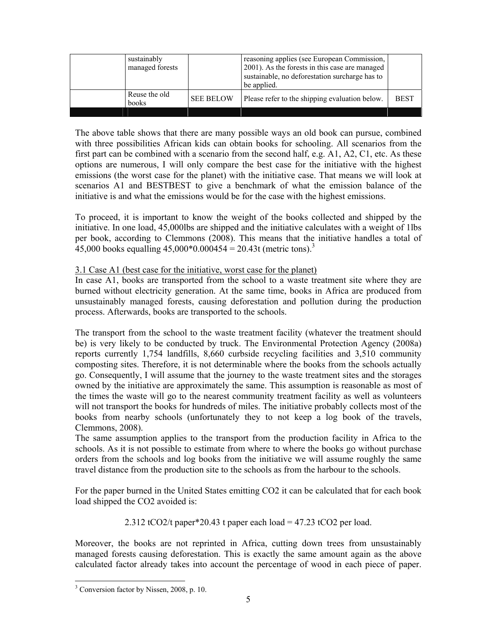| sustainably<br>managed forests |                  | reasoning applies (see European Commission,<br>2001). As the forests in this case are managed<br>sustainable, no deforestation surcharge has to<br>be applied. |             |
|--------------------------------|------------------|----------------------------------------------------------------------------------------------------------------------------------------------------------------|-------------|
| Reuse the old<br>books         | <b>SEE BELOW</b> | Please refer to the shipping evaluation below.                                                                                                                 | <b>BEST</b> |
|                                |                  |                                                                                                                                                                |             |

The above table shows that there are many possible ways an old book can pursue, combined with three possibilities African kids can obtain books for schooling. All scenarios from the first part can be combined with a scenario from the second half, e.g. A1, A2, C1, etc. As these options are numerous, I will only compare the best case for the initiative with the highest emissions (the worst case for the planet) with the initiative case. That means we will look at scenarios A1 and BESTBEST to give a benchmark of what the emission balance of the initiative is and what the emissions would be for the case with the highest emissions.

To proceed, it is important to know the weight of the books collected and shipped by the initiative. In one load, 45,000lbs are shipped and the initiative calculates with a weight of 1lbs per book, according to Clemmons (2008). This means that the initiative handles a total of 45,000 books equalling  $45,000*0.000454 = 20.43t$  (metric tons).<sup>3</sup>

## 3.1 Case A1 (best case for the initiative, worst case for the planet)

In case A1, books are transported from the school to a waste treatment site where they are burned without electricity generation. At the same time, books in Africa are produced from unsustainably managed forests, causing deforestation and pollution during the production process. Afterwards, books are transported to the schools.

The transport from the school to the waste treatment facility (whatever the treatment should be) is very likely to be conducted by truck. The Environmental Protection Agency (2008a) reports currently 1,754 landfills, 8,660 curbside recycling facilities and 3,510 community composting sites. Therefore, it is not determinable where the books from the schools actually go. Consequently, I will assume that the journey to the waste treatment sites and the storages owned by the initiative are approximately the same. This assumption is reasonable as most of the times the waste will go to the nearest community treatment facility as well as volunteers will not transport the books for hundreds of miles. The initiative probably collects most of the books from nearby schools (unfortunately they to not keep a log book of the travels, Clemmons, 2008).

The same assumption applies to the transport from the production facility in Africa to the schools. As it is not possible to estimate from where to where the books go without purchase orders from the schools and log books from the initiative we will assume roughly the same travel distance from the production site to the schools as from the harbour to the schools.

For the paper burned in the United States emitting CO2 it can be calculated that for each book load shipped the CO2 avoided is:

2.312 tCO2/t paper\*20.43 t paper each load =  $47.23$  tCO2 per load.

Moreover, the books are not reprinted in Africa, cutting down trees from unsustainably managed forests causing deforestation. This is exactly the same amount again as the above calculated factor already takes into account the percentage of wood in each piece of paper.

 $\overline{a}$ <sup>3</sup> Conversion factor by Nissen, 2008, p. 10.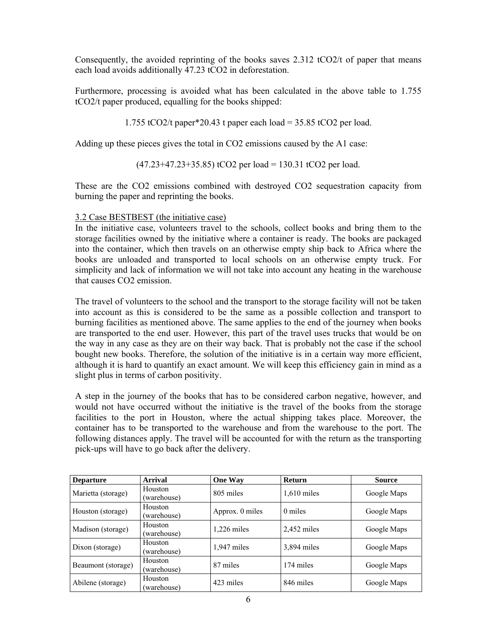Consequently, the avoided reprinting of the books saves 2.312 tCO2/t of paper that means each load avoids additionally 47.23 tCO2 in deforestation.

Furthermore, processing is avoided what has been calculated in the above table to 1.755 tCO2/t paper produced, equalling for the books shipped:

1.755 tCO2/t paper\*20.43 t paper each load =  $35.85$  tCO2 per load.

Adding up these pieces gives the total in CO2 emissions caused by the A1 case:

(47.23+47.23+35.85) tCO2 per load = 130.31 tCO2 per load.

These are the CO2 emissions combined with destroyed CO2 sequestration capacity from burning the paper and reprinting the books.

#### 3.2 Case BESTBEST (the initiative case)

In the initiative case, volunteers travel to the schools, collect books and bring them to the storage facilities owned by the initiative where a container is ready. The books are packaged into the container, which then travels on an otherwise empty ship back to Africa where the books are unloaded and transported to local schools on an otherwise empty truck. For simplicity and lack of information we will not take into account any heating in the warehouse that causes CO2 emission.

The travel of volunteers to the school and the transport to the storage facility will not be taken into account as this is considered to be the same as a possible collection and transport to burning facilities as mentioned above. The same applies to the end of the journey when books are transported to the end user. However, this part of the travel uses trucks that would be on the way in any case as they are on their way back. That is probably not the case if the school bought new books. Therefore, the solution of the initiative is in a certain way more efficient, although it is hard to quantify an exact amount. We will keep this efficiency gain in mind as a slight plus in terms of carbon positivity.

A step in the journey of the books that has to be considered carbon negative, however, and would not have occurred without the initiative is the travel of the books from the storage facilities to the port in Houston, where the actual shipping takes place. Moreover, the container has to be transported to the warehouse and from the warehouse to the port. The following distances apply. The travel will be accounted for with the return as the transporting pick-ups will have to go back after the delivery.

| <b>Departure</b>   | <b>Arrival</b>         | <b>One Way</b>  | <b>Return</b> | <b>Source</b> |
|--------------------|------------------------|-----------------|---------------|---------------|
| Marietta (storage) | Houston<br>(warehouse) | 805 miles       | $1,610$ miles | Google Maps   |
| Houston (storage)  | Houston<br>(warehouse) | Approx. 0 miles | 0 miles       | Google Maps   |
| Madison (storage)  | Houston<br>(warehouse) | $1,226$ miles   | $2,452$ miles | Google Maps   |
| Dixon (storage)    | Houston<br>(warehouse) | $1,947$ miles   | 3,894 miles   | Google Maps   |
| Beaumont (storage) | Houston<br>(warehouse) | 87 miles        | 174 miles     | Google Maps   |
| Abilene (storage)  | Houston<br>(warehouse) | 423 miles       | 846 miles     | Google Maps   |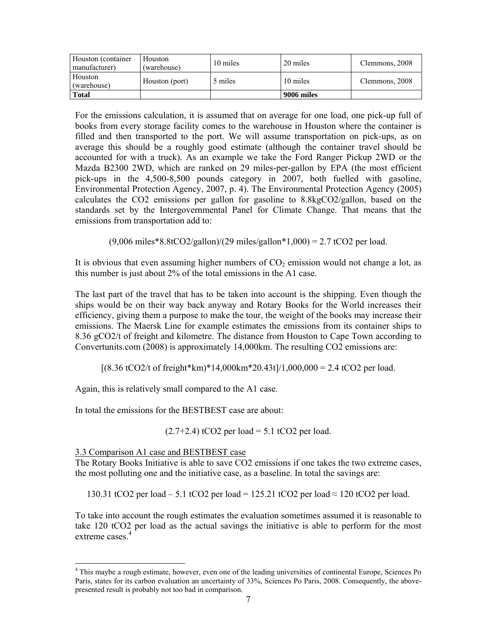| Houston (container<br>manufacturer) | Houston<br>(warehouse) | 10 miles | 20 miles   | Clemmons, 2008 |
|-------------------------------------|------------------------|----------|------------|----------------|
| Houston<br>(warehouse)              | Houston (port)         | 5 miles  | 10 miles   | Clemmons, 2008 |
| <b>Total</b>                        |                        |          | 9006 miles |                |

For the emissions calculation, it is assumed that on average for one load, one pick-up full of books from every storage facility comes to the warehouse in Houston where the container is filled and then transported to the port. We will assume transportation on pick-ups, as on average this should be a roughly good estimate (although the container travel should be accounted for with a truck). As an example we take the Ford Ranger Pickup 2WD or the Mazda B2300 2WD, which are ranked on 29 miles-per-gallon by EPA (the most efficient pick-ups in the 4,500-8,500 pounds category in 2007, both fuelled with gasoline, Environmental Protection Agency, 2007, p. 4). The Environmental Protection Agency (2005) calculates the CO2 emissions per gallon for gasoline to 8.8kgCO2/gallon, based on the standards set by the Intergovernmental Panel for Climate Change. That means that the emissions from transportation add to:

 $(9,006 \text{ miles} * 8.8tCO2/gallon)/(29 \text{ miles/gallon} * 1,000) = 2.7 tCO2$  per load.

It is obvious that even assuming higher numbers of  $CO<sub>2</sub>$  emission would not change a lot, as this number is just about 2% of the total emissions in the A1 case.

The last part of the travel that has to be taken into account is the shipping. Even though the ships would be on their way back anyway and Rotary Books for the World increases their efficiency, giving them a purpose to make the tour, the weight of the books may increase their emissions. The Maersk Line for example estimates the emissions from its container ships to 8.36 gCO2/t of freight and kilometre. The distance from Houston to Cape Town according to Convertunits.com (2008) is approximately 14,000km. The resulting CO2 emissions are:

 $[(8.36 \text{ tCO2/t of freight*km)*14,000 \text{km}*20.43 \text{t}]/1,000,000 = 2.4 \text{ tCO2 per load.}$ 

Again, this is relatively small compared to the A1 case.

In total the emissions for the BESTBEST case are about:

 $(2.7+2.4)$  tCO2 per load = 5.1 tCO2 per load.

3.3 Comparison A1 case and BESTBEST case

The Rotary Books Initiative is able to save CO2 emissions if one takes the two extreme cases, the most polluting one and the initiative case, as a baseline. In total the savings are:

130.31 tCO2 per load – 5.1 tCO2 per load = 125.21 tCO2 per load ≈ 120 tCO2 per load.

To take into account the rough estimates the evaluation sometimes assumed it is reasonable to take 120 tCO2 per load as the actual savings the initiative is able to perform for the most extreme cases.<sup>4</sup>

 $\overline{\phantom{a}}$ <sup>4</sup> This maybe a rough estimate, however, even one of the leading universities of continental Europe, Sciences Po Paris, states for its carbon evaluation an uncertainty of 33%, Sciences Po Paris, 2008. Consequently, the abovepresented result is probably not too bad in comparison.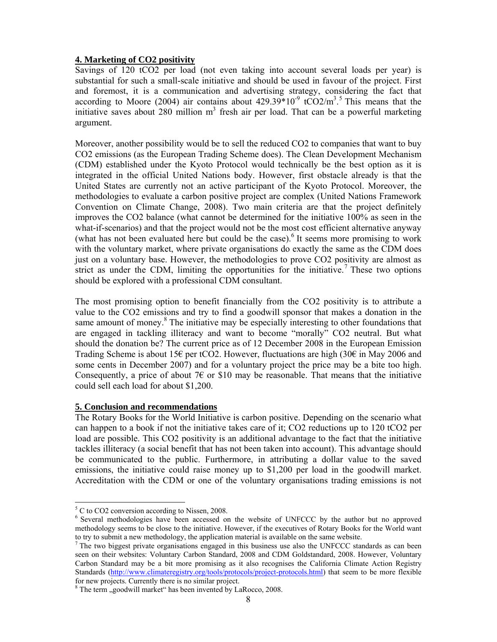#### **4. Marketing of CO2 positivity**

Savings of 120 tCO2 per load (not even taking into account several loads per year) is substantial for such a small-scale initiative and should be used in favour of the project. First and foremost, it is a communication and advertising strategy, considering the fact that according to Moore (2004) air contains about  $429.39*10^{-9}$  tCO2/m<sup>3</sup>.<sup>5</sup> This means that the initiative saves about  $280$  million  $m<sup>3</sup>$  fresh air per load. That can be a powerful marketing argument.

Moreover, another possibility would be to sell the reduced CO2 to companies that want to buy CO2 emissions (as the European Trading Scheme does). The Clean Development Mechanism (CDM) established under the Kyoto Protocol would technically be the best option as it is integrated in the official United Nations body. However, first obstacle already is that the United States are currently not an active participant of the Kyoto Protocol. Moreover, the methodologies to evaluate a carbon positive project are complex (United Nations Framework Convention on Climate Change, 2008). Two main criteria are that the project definitely improves the CO2 balance (what cannot be determined for the initiative 100% as seen in the what-if-scenarios) and that the project would not be the most cost efficient alternative anyway (what has not been evaluated here but could be the case).<sup>6</sup> It seems more promising to work with the voluntary market, where private organisations do exactly the same as the CDM does just on a voluntary base. However, the methodologies to prove CO2 positivity are almost as strict as under the CDM, limiting the opportunities for the initiative.<sup>7</sup> These two options should be explored with a professional CDM consultant.

The most promising option to benefit financially from the CO2 positivity is to attribute a value to the CO2 emissions and try to find a goodwill sponsor that makes a donation in the same amount of money.<sup>8</sup> The initiative may be especially interesting to other foundations that are engaged in tackling illiteracy and want to become "morally" CO2 neutral. But what should the donation be? The current price as of 12 December 2008 in the European Emission Trading Scheme is about 15€ per tCO2. However, fluctuations are high (30€ in May 2006 and some cents in December 2007) and for a voluntary project the price may be a bite too high. Consequently, a price of about 7 $\epsilon$  or \$10 may be reasonable. That means that the initiative could sell each load for about \$1,200.

#### **5. Conclusion and recommendations**

The Rotary Books for the World Initiative is carbon positive. Depending on the scenario what can happen to a book if not the initiative takes care of it; CO2 reductions up to 120 tCO2 per load are possible. This CO2 positivity is an additional advantage to the fact that the initiative tackles illiteracy (a social benefit that has not been taken into account). This advantage should be communicated to the public. Furthermore, in attributing a dollar value to the saved emissions, the initiative could raise money up to \$1,200 per load in the goodwill market. Accreditation with the CDM or one of the voluntary organisations trading emissions is not

 $\overline{\phantom{a}}$ 

 $<sup>5</sup>$  C to CO2 conversion according to Nissen, 2008.</sup>

<sup>&</sup>lt;sup>6</sup> Several methodologies have been accessed on the website of UNFCCC by the author but no approved methodology seems to be close to the initiative. However, if the executives of Rotary Books for the World want to try to submit a new methodology, the application material is available on the same website.

<sup>&</sup>lt;sup>7</sup> The two biggest private organisations engaged in this business use also the UNFCCC standards as can been seen on their websites: Voluntary Carbon Standard, 2008 and CDM Goldstandard, 2008. However, Voluntary Carbon Standard may be a bit more promising as it also recognises the California Climate Action Registry Standards (http://www.climateregistry.org/tools/protocols/project-protocols.html) that seem to be more flexible for new projects. Currently there is no similar project.

<sup>&</sup>lt;sup>8</sup> The term "goodwill market" has been invented by LaRocco, 2008.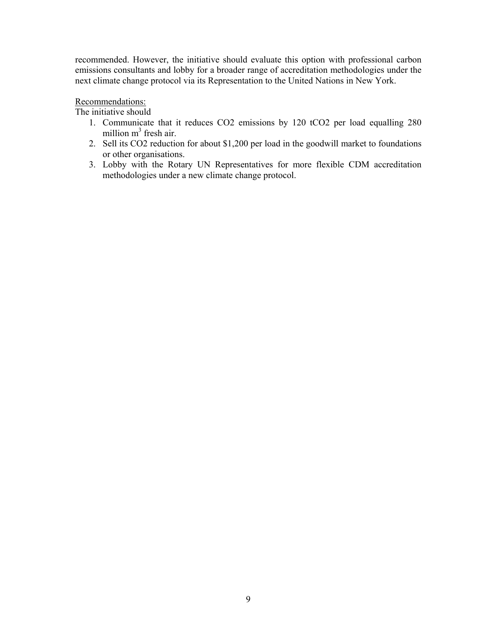recommended. However, the initiative should evaluate this option with professional carbon emissions consultants and lobby for a broader range of accreditation methodologies under the next climate change protocol via its Representation to the United Nations in New York.

### Recommendations:

The initiative should

- 1. Communicate that it reduces CO2 emissions by 120 tCO2 per load equalling 280 million m<sup>3</sup> fresh air.
- 2. Sell its CO2 reduction for about \$1,200 per load in the goodwill market to foundations or other organisations.
- 3. Lobby with the Rotary UN Representatives for more flexible CDM accreditation methodologies under a new climate change protocol.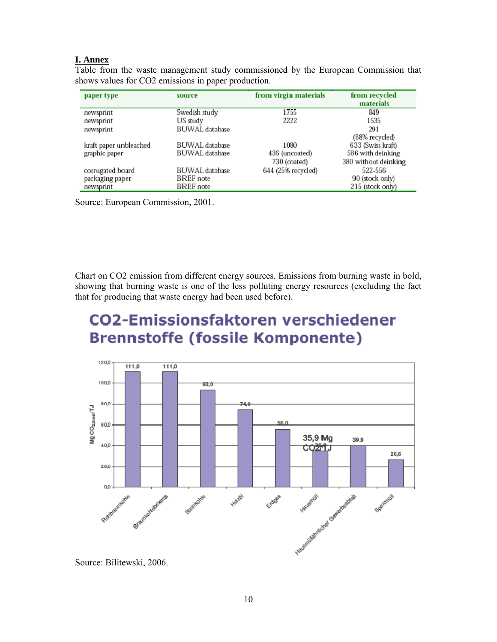## **I. Annex**

| paper type             | source                | from virgin materials | from recycled<br>materials |
|------------------------|-----------------------|-----------------------|----------------------------|
| newsprint              | Swedish study         | 1755                  | 849                        |
| newsprint              | US study              | 2222                  | 1535                       |
| newsprint              | <b>BUWAL</b> database |                       | 291                        |
|                        |                       |                       | (68% recycled)             |
| kraft paper unbleached | <b>BUWAL</b> database | 1080                  | 633 (Swiss kraft)          |
| graphic paper          | BUWAL database        | 436 (uncoated)        | 586 with deinking          |
|                        |                       | 730 (coated)          | 380 without deinking       |
| corrugated board       | BUWAL database        | 644 (25% recycled)    | 522-556                    |
| packaging paper        | BREF note             |                       | 90 (stock only)            |
| newsprint              | <b>BREF</b> note      |                       | 215 (stock only)           |

Table from the waste management study commissioned by the European Commission that shows values for CO2 emissions in paper production.

Source: European Commission, 2001.

Chart on CO2 emission from different energy sources. Emissions from burning waste in bold, showing that burning waste is one of the less polluting energy resources (excluding the fact that for producing that waste energy had been used before).

# **CO2-Emissionsfaktoren verschiedener Brennstoffe (fossile Komponente)**



Source: Bilitewski, 2006.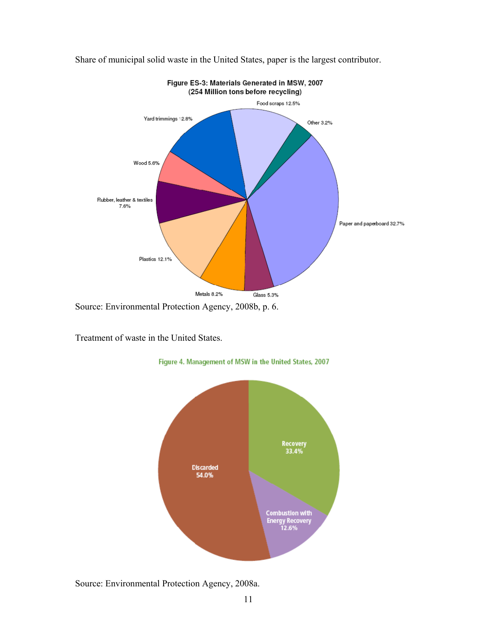

Share of municipal solid waste in the United States, paper is the largest contributor.

Treatment of waste in the United States.



Figure 4. Management of MSW in the United States, 2007

Source: Environmental Protection Agency, 2008a.